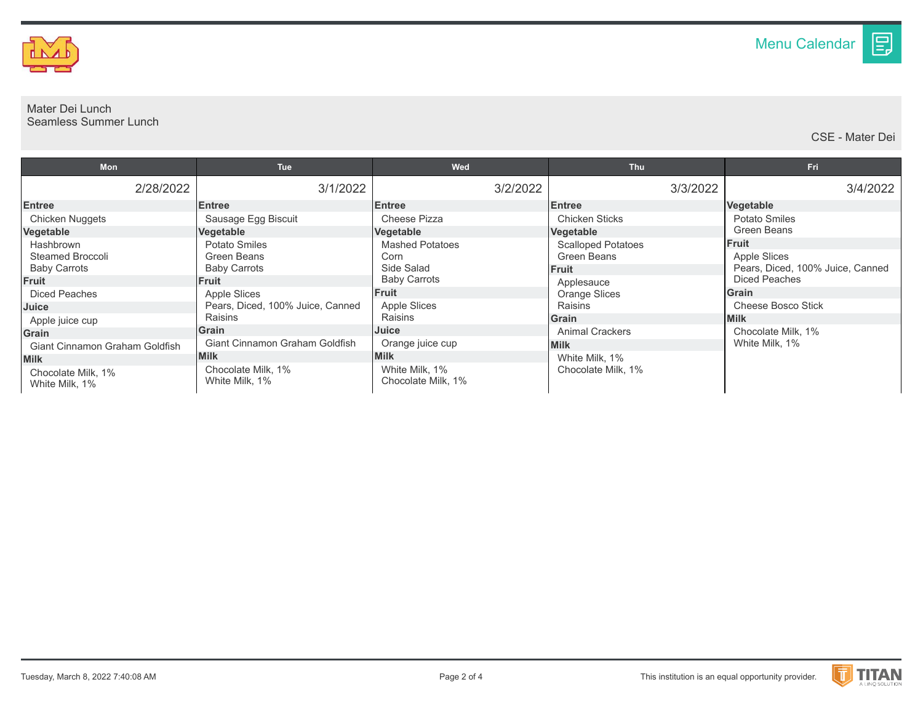

## Mater Dei Lunch Seamless Summer Lunch

CSE - Mater Dei

目

| <b>Mon</b>                            | <b>Tue</b>                           | Wed                                  | Thu                       | Fri                              |
|---------------------------------------|--------------------------------------|--------------------------------------|---------------------------|----------------------------------|
| 2/28/2022                             | 3/1/2022                             | 3/2/2022                             | 3/3/2022                  | 3/4/2022                         |
| <b>Entree</b>                         | <b>Entree</b>                        | <b>Entree</b>                        | <b>Entree</b>             | Vegetable                        |
| Chicken Nuggets                       | Sausage Egg Biscuit                  | Cheese Pizza                         | <b>Chicken Sticks</b>     | Potato Smiles                    |
| Vegetable                             | Vegetable                            | Vegetable                            | Vegetable                 | <b>Green Beans</b>               |
| Hashbrown                             | Potato Smiles                        | <b>Mashed Potatoes</b>               | <b>Scalloped Potatoes</b> | <b>Fruit</b>                     |
| Steamed Broccoli                      | Green Beans                          | Corn                                 | Green Beans               | Apple Slices                     |
| <b>Baby Carrots</b>                   | <b>Baby Carrots</b>                  | Side Salad                           | <b>Fruit</b>              | Pears, Diced, 100% Juice, Canned |
| Fruit                                 | <b>Fruit</b>                         | <b>Baby Carrots</b>                  | Applesauce                | Diced Peaches                    |
| Diced Peaches                         | Apple Slices                         | <b>Fruit</b>                         | <b>Orange Slices</b>      | <b>Grain</b>                     |
| Juice                                 | Pears, Diced, 100% Juice, Canned     | <b>Apple Slices</b>                  | Raisins                   | Cheese Bosco Stick               |
| Apple juice cup                       | Raisins                              | Raisins                              | <b>Grain</b>              | <b>Milk</b>                      |
| <b>Grain</b>                          | Grain                                | Juice                                | <b>Animal Crackers</b>    | Chocolate Milk, 1%               |
| <b>Giant Cinnamon Graham Goldfish</b> | Giant Cinnamon Graham Goldfish       | Orange juice cup                     | <b>Milk</b>               | White Milk, 1%                   |
| <b>Milk</b>                           | <b>Milk</b>                          | <b>Milk</b>                          | White Milk, 1%            |                                  |
| Chocolate Milk. 1%<br>White Milk, 1%  | Chocolate Milk, 1%<br>White Milk, 1% | White Milk, 1%<br>Chocolate Milk. 1% | Chocolate Milk, 1%        |                                  |

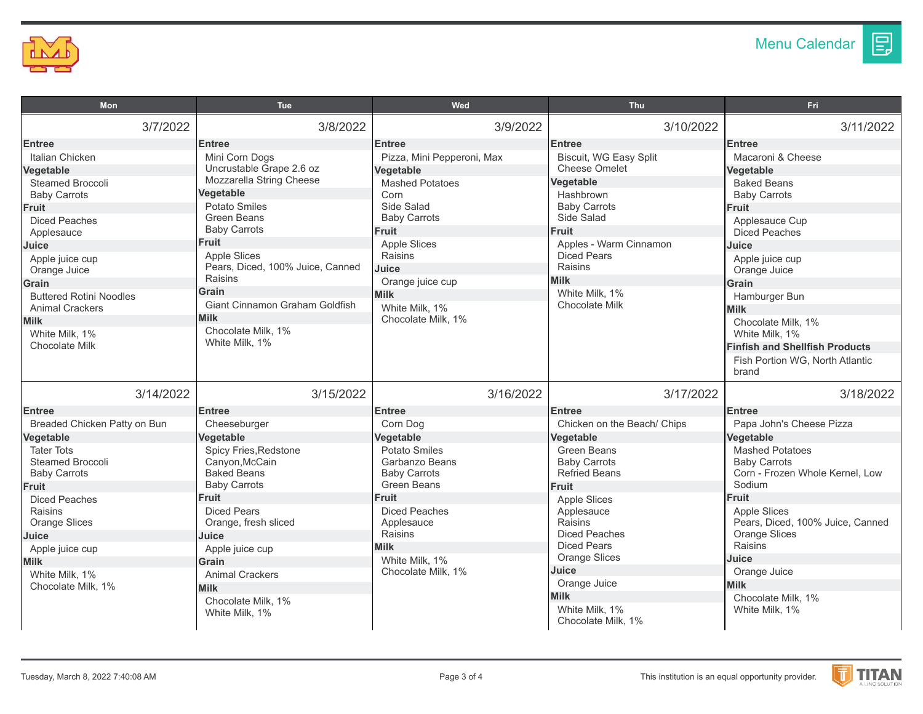

目

| <b>Mon</b>                                                                                                                                                                                                                                                                            | <b>Tue</b>                                                                                                                                                                                                                                                                                                  | Wed                                                                                                                                                                                                                                                            | <b>Thu</b>                                                                                                                                                                                                                                                                                             | Fri                                                                                                                                                                                                                                                                                                                        |
|---------------------------------------------------------------------------------------------------------------------------------------------------------------------------------------------------------------------------------------------------------------------------------------|-------------------------------------------------------------------------------------------------------------------------------------------------------------------------------------------------------------------------------------------------------------------------------------------------------------|----------------------------------------------------------------------------------------------------------------------------------------------------------------------------------------------------------------------------------------------------------------|--------------------------------------------------------------------------------------------------------------------------------------------------------------------------------------------------------------------------------------------------------------------------------------------------------|----------------------------------------------------------------------------------------------------------------------------------------------------------------------------------------------------------------------------------------------------------------------------------------------------------------------------|
| 3/7/2022                                                                                                                                                                                                                                                                              | 3/8/2022                                                                                                                                                                                                                                                                                                    | 3/9/2022                                                                                                                                                                                                                                                       | 3/10/2022                                                                                                                                                                                                                                                                                              | 3/11/2022                                                                                                                                                                                                                                                                                                                  |
| <b>Entree</b><br>Italian Chicken<br><b>Vegetable</b><br>Steamed Broccoli<br><b>Baby Carrots</b><br><b>Fruit</b><br><b>Diced Peaches</b><br>Applesauce<br>Juice<br>Apple juice cup<br>Orange Juice<br>Grain<br><b>Buttered Rotini Noodles</b><br><b>Animal Crackers</b><br><b>Milk</b> | <b>Entree</b><br>Mini Corn Dogs<br>Uncrustable Grape 2.6 oz<br>Mozzarella String Cheese<br>Vegetable<br><b>Potato Smiles</b><br>Green Beans<br><b>Baby Carrots</b><br><b>Fruit</b><br>Apple Slices<br>Pears, Diced, 100% Juice, Canned<br>Raisins<br>Grain<br>Giant Cinnamon Graham Goldfish<br><b>Milk</b> | <b>Entree</b><br>Pizza, Mini Pepperoni, Max<br>Vegetable<br><b>Mashed Potatoes</b><br>Corn<br>Side Salad<br><b>Baby Carrots</b><br>Fruit<br><b>Apple Slices</b><br>Raisins<br>Juice<br>Orange juice cup<br><b>Milk</b><br>White Milk, 1%<br>Chocolate Milk, 1% | <b>Entree</b><br><b>Biscuit, WG Easy Split</b><br><b>Cheese Omelet</b><br>Vegetable<br>Hashbrown<br><b>Baby Carrots</b><br>Side Salad<br>Fruit<br>Apples - Warm Cinnamon<br><b>Diced Pears</b><br>Raisins<br><b>Milk</b><br>White Milk, 1%<br>Chocolate Milk                                           | <b>Entree</b><br>Macaroni & Cheese<br>Vegetable<br><b>Baked Beans</b><br><b>Baby Carrots</b><br>Fruit<br>Applesauce Cup<br><b>Diced Peaches</b><br>Juice<br>Apple juice cup<br>Orange Juice<br>Grain<br>Hamburger Bun<br><b>Milk</b>                                                                                       |
| White Milk, 1%<br><b>Chocolate Milk</b>                                                                                                                                                                                                                                               | Chocolate Milk, 1%<br>White Milk, 1%                                                                                                                                                                                                                                                                        |                                                                                                                                                                                                                                                                |                                                                                                                                                                                                                                                                                                        | Chocolate Milk, 1%<br>White Milk, 1%<br><b>Finfish and Shellfish Products</b><br>Fish Portion WG, North Atlantic<br>brand                                                                                                                                                                                                  |
| 3/14/2022<br><b>Entree</b>                                                                                                                                                                                                                                                            | 3/15/2022<br><b>Entree</b>                                                                                                                                                                                                                                                                                  | 3/16/2022<br><b>Entree</b>                                                                                                                                                                                                                                     | 3/17/2022<br><b>Entree</b>                                                                                                                                                                                                                                                                             | 3/18/2022<br><b>Entree</b>                                                                                                                                                                                                                                                                                                 |
| Breaded Chicken Patty on Bun<br>Vegetable<br><b>Tater Tots</b><br><b>Steamed Broccoli</b><br><b>Baby Carrots</b><br><b>Fruit</b><br><b>Diced Peaches</b><br>Raisins<br><b>Orange Slices</b><br>Juice<br>Apple juice cup<br><b>Milk</b><br>White Milk, 1%<br>Chocolate Milk, 1%        | Cheeseburger<br>Vegetable<br>Spicy Fries, Redstone<br>Canyon, McCain<br><b>Baked Beans</b><br><b>Baby Carrots</b><br><b>Fruit</b><br>Diced Pears<br>Orange, fresh sliced<br>Juice<br>Apple juice cup<br>Grain<br><b>Animal Crackers</b><br><b>Milk</b><br>Chocolate Milk, 1%<br>White Milk, 1%              | Corn Dog<br>Vegetable<br>Potato Smiles<br>Garbanzo Beans<br><b>Baby Carrots</b><br><b>Green Beans</b><br><b>Fruit</b><br><b>Diced Peaches</b><br>Applesauce<br>Raisins<br><b>Milk</b><br>White Milk, 1%<br>Chocolate Milk, 1%                                  | Chicken on the Beach/ Chips<br>Vegetable<br><b>Green Beans</b><br><b>Baby Carrots</b><br><b>Refried Beans</b><br>Fruit<br><b>Apple Slices</b><br>Applesauce<br>Raisins<br><b>Diced Peaches</b><br><b>Diced Pears</b><br><b>Orange Slices</b><br>Juice<br>Orange Juice<br><b>Milk</b><br>White Milk, 1% | Papa John's Cheese Pizza<br>Vegetable<br><b>Mashed Potatoes</b><br><b>Baby Carrots</b><br>Corn - Frozen Whole Kernel, Low<br>Sodium<br>Fruit<br><b>Apple Slices</b><br>Pears, Diced, 100% Juice, Canned<br><b>Orange Slices</b><br>Raisins<br>Juice<br>Orange Juice<br><b>Milk</b><br>Chocolate Milk, 1%<br>White Milk, 1% |